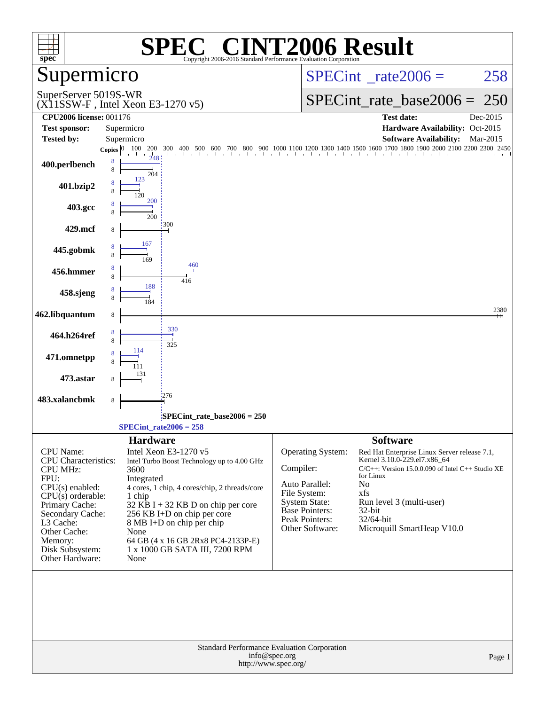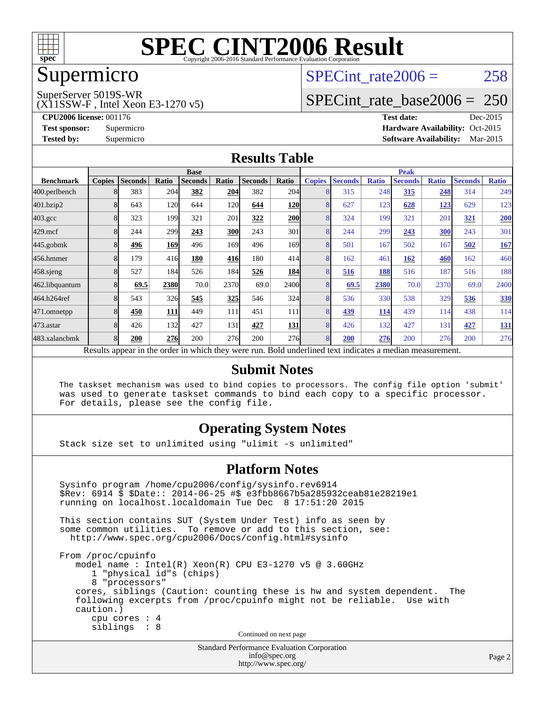

## Supermicro

#### SuperServer 5019S-WR

(X11SSW-F , Intel Xeon E3-1270 v5)

SPECint rate $2006 = 258$ 

## [SPECint\\_rate\\_base2006 =](http://www.spec.org/auto/cpu2006/Docs/result-fields.html#SPECintratebase2006) 250

**[CPU2006 license:](http://www.spec.org/auto/cpu2006/Docs/result-fields.html#CPU2006license)** 001176 **[Test date:](http://www.spec.org/auto/cpu2006/Docs/result-fields.html#Testdate)** Dec-2015 **[Test sponsor:](http://www.spec.org/auto/cpu2006/Docs/result-fields.html#Testsponsor)** Supermicro Supermicro **[Hardware Availability:](http://www.spec.org/auto/cpu2006/Docs/result-fields.html#HardwareAvailability)** Oct-2015 **[Tested by:](http://www.spec.org/auto/cpu2006/Docs/result-fields.html#Testedby)** Supermicro **Supermicro [Software Availability:](http://www.spec.org/auto/cpu2006/Docs/result-fields.html#SoftwareAvailability)** Mar-2015

#### **[Results Table](http://www.spec.org/auto/cpu2006/Docs/result-fields.html#ResultsTable)**

|                    | <b>Base</b>             |                |            |                                                                                                          |       |                |                  | <b>Peak</b>   |                |              |                |              |                |              |
|--------------------|-------------------------|----------------|------------|----------------------------------------------------------------------------------------------------------|-------|----------------|------------------|---------------|----------------|--------------|----------------|--------------|----------------|--------------|
| <b>Benchmark</b>   | <b>Copies</b>           | <b>Seconds</b> | Ratio      | <b>Seconds</b>                                                                                           | Ratio | <b>Seconds</b> | Ratio            | <b>Copies</b> | <b>Seconds</b> | <b>Ratio</b> | <b>Seconds</b> | <b>Ratio</b> | <b>Seconds</b> | <b>Ratio</b> |
| 400.perlbench      |                         | 383            | 204        | 382                                                                                                      | 204   | 382            | 204              | 8             | 315            | 248          | 315            | 248          | 314            | 249          |
| 401.bzip2          |                         | 643            | 120        | 644                                                                                                      | 120   | 644            | <u>120</u>       | 8             | 627            | 123          | 628            | <u>123</u>   | 629            | 123          |
| $403.\mathrm{gcc}$ |                         | 323            | 199        | 321                                                                                                      | 201   | 322            | <b>200</b>       | 8             | 324            | 199          | 321            | 201          | 321            | 200          |
| $429$ .mcf         |                         | 244            | 299        | 243                                                                                                      | 300   | 243            | 301              | 8             | 244            | 299          | 243            | 300          | 243            | 301          |
| $445$ .gobm $k$    |                         | 496            | <b>169</b> | 496                                                                                                      | 169   | 496            | 169 <sub>1</sub> | 8             | 501            | 167          | 502            | 167          | 502            | <b>167</b>   |
| 456.hmmer          |                         | 179            | 416        | 180                                                                                                      | 416   | 180            | 414              | 8             | 162            | 461          | 162            | 460          | 162            | 460          |
| $458$ .sjeng       | 8                       | 527            | 184        | 526                                                                                                      | 184   | 526            | 184              | 8             | 516            | 188          | 516            | 187          | 516            | 188          |
| 462.libquantum     |                         | 69.5           | 2380       | 70.0                                                                                                     | 2370  | 69.0           | 2400l            | 8             | 69.5           | 2380         | 70.0           | 2370         | 69.0           | 2400         |
| 464.h264ref        |                         | 543            | 326        | 545                                                                                                      | 325   | 546            | 324              | 8             | 536            | 330          | 538            | 329          | 536            | <b>330</b>   |
| 471.omnetpp        |                         | 450            | 111        | 449                                                                                                      | 111   | 451            | 111              | 8             | 439            | 114          | 439            | 114          | 438            | 114          |
| $473$ . astar      | $\mathsf{\overline{R}}$ | 426            | 132        | 427                                                                                                      | 131   | 427            | 131              | 8             | 426            | 132          | 427            | 131          | 427            | <u>131</u>   |
| 483.xalancbmk      |                         | 200            | 276        | 200                                                                                                      | 276   | 200            | 276              | 8             | 200            | 276          | 200            | 276          | 200            | 276          |
|                    |                         |                |            | Results appear in the order in which they were run. Bold underlined text indicates a median measurement. |       |                |                  |               |                |              |                |              |                |              |

#### **[Submit Notes](http://www.spec.org/auto/cpu2006/Docs/result-fields.html#SubmitNotes)**

 The taskset mechanism was used to bind copies to processors. The config file option 'submit' was used to generate taskset commands to bind each copy to a specific processor. For details, please see the config file.

#### **[Operating System Notes](http://www.spec.org/auto/cpu2006/Docs/result-fields.html#OperatingSystemNotes)**

Stack size set to unlimited using "ulimit -s unlimited"

#### **[Platform Notes](http://www.spec.org/auto/cpu2006/Docs/result-fields.html#PlatformNotes)**

 Sysinfo program /home/cpu2006/config/sysinfo.rev6914 \$Rev: 6914 \$ \$Date:: 2014-06-25 #\$ e3fbb8667b5a285932ceab81e28219e1 running on localhost.localdomain Tue Dec 8 17:51:20 2015 This section contains SUT (System Under Test) info as seen by some common utilities. To remove or add to this section, see: <http://www.spec.org/cpu2006/Docs/config.html#sysinfo> From /proc/cpuinfo model name : Intel(R) Xeon(R) CPU E3-1270 v5 @ 3.60GHz 1 "physical id"s (chips) 8 "processors" cores, siblings (Caution: counting these is hw and system dependent. The following excerpts from /proc/cpuinfo might not be reliable. Use with caution.) cpu cores : 4 siblings : 8 Continued on next page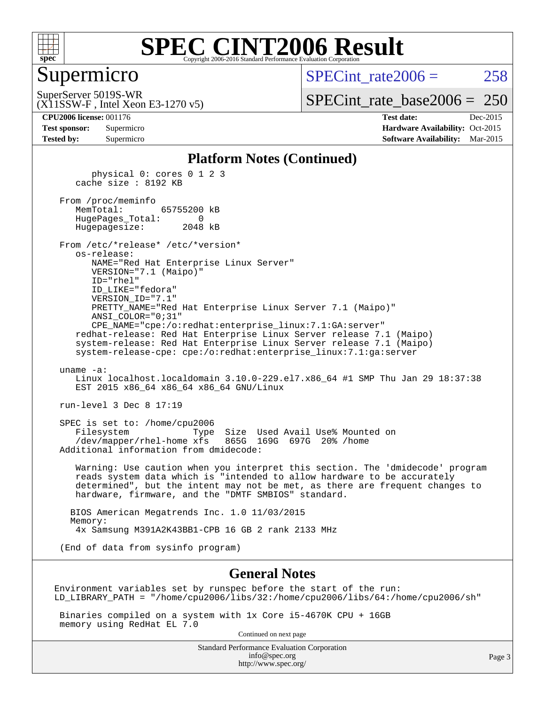

#### Supermicro

SPECint rate $2006 = 258$ 

(X11SSW-F , Intel Xeon E3-1270 v5) SuperServer 5019S-WR

[SPECint\\_rate\\_base2006 =](http://www.spec.org/auto/cpu2006/Docs/result-fields.html#SPECintratebase2006) 250

**[CPU2006 license:](http://www.spec.org/auto/cpu2006/Docs/result-fields.html#CPU2006license)** 001176 **[Test date:](http://www.spec.org/auto/cpu2006/Docs/result-fields.html#Testdate)** Dec-2015 **[Test sponsor:](http://www.spec.org/auto/cpu2006/Docs/result-fields.html#Testsponsor)** Supermicro Supermicro **[Hardware Availability:](http://www.spec.org/auto/cpu2006/Docs/result-fields.html#HardwareAvailability)** Oct-2015 **[Tested by:](http://www.spec.org/auto/cpu2006/Docs/result-fields.html#Testedby)** Supermicro **Supermicro [Software Availability:](http://www.spec.org/auto/cpu2006/Docs/result-fields.html#SoftwareAvailability)** Mar-2015

#### **[Platform Notes \(Continued\)](http://www.spec.org/auto/cpu2006/Docs/result-fields.html#PlatformNotes)**

 physical 0: cores 0 1 2 3 cache size : 8192 KB

 From /proc/meminfo MemTotal: 65755200 kB HugePages\_Total: 0 Hugepagesize: 2048 kB

 From /etc/\*release\* /etc/\*version\* os-release: NAME="Red Hat Enterprise Linux Server" VERSION="7.1 (Maipo)"

 ID="rhel" ID\_LIKE="fedora" VERSION\_ID="7.1" PRETTY\_NAME="Red Hat Enterprise Linux Server 7.1 (Maipo)" ANSI\_COLOR="0;31" CPE\_NAME="cpe:/o:redhat:enterprise\_linux:7.1:GA:server"

 redhat-release: Red Hat Enterprise Linux Server release 7.1 (Maipo) system-release: Red Hat Enterprise Linux Server release 7.1 (Maipo) system-release-cpe: cpe:/o:redhat:enterprise\_linux:7.1:ga:server

#### uname -a:

 Linux localhost.localdomain 3.10.0-229.el7.x86\_64 #1 SMP Thu Jan 29 18:37:38 EST 2015 x86 64 x86 64 x86 64 GNU/Linux

run-level 3 Dec 8 17:19

 SPEC is set to: /home/cpu2006 Filesystem Type Size Used Avail Use% Mounted on /dev/mapper/rhel-home xfs 865G 169G 697G 20% /home Additional information from dmidecode:

 Warning: Use caution when you interpret this section. The 'dmidecode' program reads system data which is "intended to allow hardware to be accurately determined", but the intent may not be met, as there are frequent changes to hardware, firmware, and the "DMTF SMBIOS" standard.

 BIOS American Megatrends Inc. 1.0 11/03/2015 Memory: 4x Samsung M391A2K43BB1-CPB 16 GB 2 rank 2133 MHz

(End of data from sysinfo program)

#### **[General Notes](http://www.spec.org/auto/cpu2006/Docs/result-fields.html#GeneralNotes)**

Environment variables set by runspec before the start of the run: LD\_LIBRARY\_PATH = "/home/cpu2006/libs/32:/home/cpu2006/libs/64:/home/cpu2006/sh"

 Binaries compiled on a system with 1x Core i5-4670K CPU + 16GB memory using RedHat EL 7.0

Continued on next page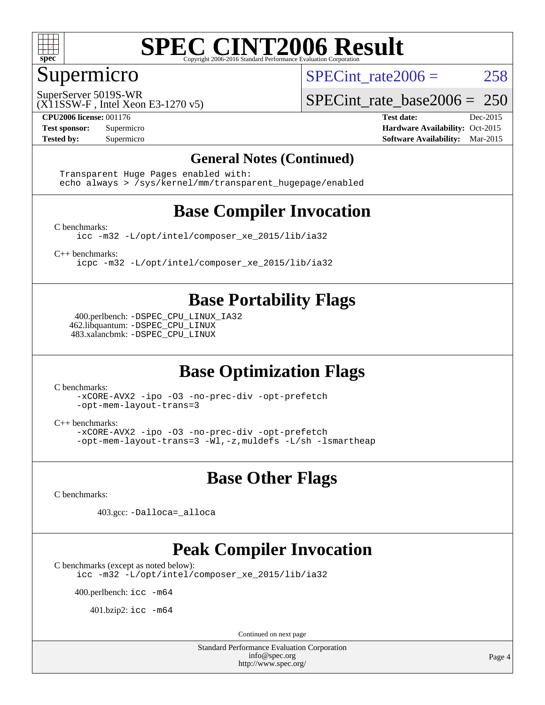

#### Supermicro

SPECint rate $2006 = 258$ 

SuperServer 5019S-WR

[SPECint\\_rate\\_base2006 =](http://www.spec.org/auto/cpu2006/Docs/result-fields.html#SPECintratebase2006) 250

(X11SSW-F , Intel Xeon E3-1270 v5)

**[CPU2006 license:](http://www.spec.org/auto/cpu2006/Docs/result-fields.html#CPU2006license)** 001176 **[Test date:](http://www.spec.org/auto/cpu2006/Docs/result-fields.html#Testdate)** Dec-2015 **[Test sponsor:](http://www.spec.org/auto/cpu2006/Docs/result-fields.html#Testsponsor)** Supermicro Supermicro **[Hardware Availability:](http://www.spec.org/auto/cpu2006/Docs/result-fields.html#HardwareAvailability)** Oct-2015 **[Tested by:](http://www.spec.org/auto/cpu2006/Docs/result-fields.html#Testedby)** Supermicro **Supermicro [Software Availability:](http://www.spec.org/auto/cpu2006/Docs/result-fields.html#SoftwareAvailability)** Mar-2015

#### **[General Notes \(Continued\)](http://www.spec.org/auto/cpu2006/Docs/result-fields.html#GeneralNotes)**

 Transparent Huge Pages enabled with: echo always > /sys/kernel/mm/transparent\_hugepage/enabled

## **[Base Compiler Invocation](http://www.spec.org/auto/cpu2006/Docs/result-fields.html#BaseCompilerInvocation)**

[C benchmarks](http://www.spec.org/auto/cpu2006/Docs/result-fields.html#Cbenchmarks):

[icc -m32 -L/opt/intel/composer\\_xe\\_2015/lib/ia32](http://www.spec.org/cpu2006/results/res2016q1/cpu2006-20160125-38784.flags.html#user_CCbase_intel_icc_011b86df29f8c679b747245588698a4d)

[C++ benchmarks:](http://www.spec.org/auto/cpu2006/Docs/result-fields.html#CXXbenchmarks)

[icpc -m32 -L/opt/intel/composer\\_xe\\_2015/lib/ia32](http://www.spec.org/cpu2006/results/res2016q1/cpu2006-20160125-38784.flags.html#user_CXXbase_intel_icpc_c2c99686a1a582c3e0de0b4806b02cea)

#### **[Base Portability Flags](http://www.spec.org/auto/cpu2006/Docs/result-fields.html#BasePortabilityFlags)**

 400.perlbench: [-DSPEC\\_CPU\\_LINUX\\_IA32](http://www.spec.org/cpu2006/results/res2016q1/cpu2006-20160125-38784.flags.html#b400.perlbench_baseCPORTABILITY_DSPEC_CPU_LINUX_IA32) 462.libquantum: [-DSPEC\\_CPU\\_LINUX](http://www.spec.org/cpu2006/results/res2016q1/cpu2006-20160125-38784.flags.html#b462.libquantum_baseCPORTABILITY_DSPEC_CPU_LINUX) 483.xalancbmk: [-DSPEC\\_CPU\\_LINUX](http://www.spec.org/cpu2006/results/res2016q1/cpu2006-20160125-38784.flags.html#b483.xalancbmk_baseCXXPORTABILITY_DSPEC_CPU_LINUX)

## **[Base Optimization Flags](http://www.spec.org/auto/cpu2006/Docs/result-fields.html#BaseOptimizationFlags)**

[C benchmarks](http://www.spec.org/auto/cpu2006/Docs/result-fields.html#Cbenchmarks):

[-xCORE-AVX2](http://www.spec.org/cpu2006/results/res2016q1/cpu2006-20160125-38784.flags.html#user_CCbase_f-xAVX2_5f5fc0cbe2c9f62c816d3e45806c70d7) [-ipo](http://www.spec.org/cpu2006/results/res2016q1/cpu2006-20160125-38784.flags.html#user_CCbase_f-ipo) [-O3](http://www.spec.org/cpu2006/results/res2016q1/cpu2006-20160125-38784.flags.html#user_CCbase_f-O3) [-no-prec-div](http://www.spec.org/cpu2006/results/res2016q1/cpu2006-20160125-38784.flags.html#user_CCbase_f-no-prec-div) [-opt-prefetch](http://www.spec.org/cpu2006/results/res2016q1/cpu2006-20160125-38784.flags.html#user_CCbase_f-opt-prefetch) [-opt-mem-layout-trans=3](http://www.spec.org/cpu2006/results/res2016q1/cpu2006-20160125-38784.flags.html#user_CCbase_f-opt-mem-layout-trans_a7b82ad4bd7abf52556d4961a2ae94d5)

[C++ benchmarks:](http://www.spec.org/auto/cpu2006/Docs/result-fields.html#CXXbenchmarks)

[-xCORE-AVX2](http://www.spec.org/cpu2006/results/res2016q1/cpu2006-20160125-38784.flags.html#user_CXXbase_f-xAVX2_5f5fc0cbe2c9f62c816d3e45806c70d7) [-ipo](http://www.spec.org/cpu2006/results/res2016q1/cpu2006-20160125-38784.flags.html#user_CXXbase_f-ipo) [-O3](http://www.spec.org/cpu2006/results/res2016q1/cpu2006-20160125-38784.flags.html#user_CXXbase_f-O3) [-no-prec-div](http://www.spec.org/cpu2006/results/res2016q1/cpu2006-20160125-38784.flags.html#user_CXXbase_f-no-prec-div) [-opt-prefetch](http://www.spec.org/cpu2006/results/res2016q1/cpu2006-20160125-38784.flags.html#user_CXXbase_f-opt-prefetch) [-opt-mem-layout-trans=3](http://www.spec.org/cpu2006/results/res2016q1/cpu2006-20160125-38784.flags.html#user_CXXbase_f-opt-mem-layout-trans_a7b82ad4bd7abf52556d4961a2ae94d5) [-Wl,-z,muldefs](http://www.spec.org/cpu2006/results/res2016q1/cpu2006-20160125-38784.flags.html#user_CXXbase_link_force_multiple1_74079c344b956b9658436fd1b6dd3a8a) [-L/sh -lsmartheap](http://www.spec.org/cpu2006/results/res2016q1/cpu2006-20160125-38784.flags.html#user_CXXbase_SmartHeap_32f6c82aa1ed9c52345d30cf6e4a0499)

#### **[Base Other Flags](http://www.spec.org/auto/cpu2006/Docs/result-fields.html#BaseOtherFlags)**

[C benchmarks](http://www.spec.org/auto/cpu2006/Docs/result-fields.html#Cbenchmarks):

403.gcc: [-Dalloca=\\_alloca](http://www.spec.org/cpu2006/results/res2016q1/cpu2006-20160125-38784.flags.html#b403.gcc_baseEXTRA_CFLAGS_Dalloca_be3056838c12de2578596ca5467af7f3)

#### **[Peak Compiler Invocation](http://www.spec.org/auto/cpu2006/Docs/result-fields.html#PeakCompilerInvocation)**

[C benchmarks \(except as noted below\)](http://www.spec.org/auto/cpu2006/Docs/result-fields.html#Cbenchmarksexceptasnotedbelow):

[icc -m32 -L/opt/intel/composer\\_xe\\_2015/lib/ia32](http://www.spec.org/cpu2006/results/res2016q1/cpu2006-20160125-38784.flags.html#user_CCpeak_intel_icc_011b86df29f8c679b747245588698a4d)

400.perlbench: [icc -m64](http://www.spec.org/cpu2006/results/res2016q1/cpu2006-20160125-38784.flags.html#user_peakCCLD400_perlbench_intel_icc_64bit_bda6cc9af1fdbb0edc3795bac97ada53)

401.bzip2: [icc -m64](http://www.spec.org/cpu2006/results/res2016q1/cpu2006-20160125-38784.flags.html#user_peakCCLD401_bzip2_intel_icc_64bit_bda6cc9af1fdbb0edc3795bac97ada53)

Continued on next page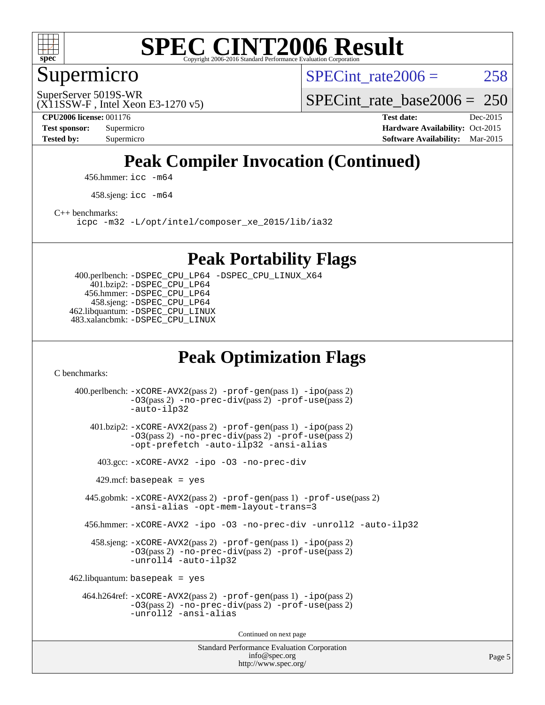

### Supermicro

SPECint rate $2006 = 258$ 

(X11SSW-F , Intel Xeon E3-1270 v5) SuperServer 5019S-WR

[SPECint\\_rate\\_base2006 =](http://www.spec.org/auto/cpu2006/Docs/result-fields.html#SPECintratebase2006) 250

**[CPU2006 license:](http://www.spec.org/auto/cpu2006/Docs/result-fields.html#CPU2006license)** 001176 **[Test date:](http://www.spec.org/auto/cpu2006/Docs/result-fields.html#Testdate)** Dec-2015 **[Test sponsor:](http://www.spec.org/auto/cpu2006/Docs/result-fields.html#Testsponsor)** Supermicro **[Hardware Availability:](http://www.spec.org/auto/cpu2006/Docs/result-fields.html#HardwareAvailability)** Oct-2015 **[Tested by:](http://www.spec.org/auto/cpu2006/Docs/result-fields.html#Testedby)** Supermicro **Supermicro [Software Availability:](http://www.spec.org/auto/cpu2006/Docs/result-fields.html#SoftwareAvailability)** Mar-2015

## **[Peak Compiler Invocation \(Continued\)](http://www.spec.org/auto/cpu2006/Docs/result-fields.html#PeakCompilerInvocation)**

456.hmmer: [icc -m64](http://www.spec.org/cpu2006/results/res2016q1/cpu2006-20160125-38784.flags.html#user_peakCCLD456_hmmer_intel_icc_64bit_bda6cc9af1fdbb0edc3795bac97ada53)

458.sjeng: [icc -m64](http://www.spec.org/cpu2006/results/res2016q1/cpu2006-20160125-38784.flags.html#user_peakCCLD458_sjeng_intel_icc_64bit_bda6cc9af1fdbb0edc3795bac97ada53)

[C++ benchmarks:](http://www.spec.org/auto/cpu2006/Docs/result-fields.html#CXXbenchmarks)

[icpc -m32 -L/opt/intel/composer\\_xe\\_2015/lib/ia32](http://www.spec.org/cpu2006/results/res2016q1/cpu2006-20160125-38784.flags.html#user_CXXpeak_intel_icpc_c2c99686a1a582c3e0de0b4806b02cea)

#### **[Peak Portability Flags](http://www.spec.org/auto/cpu2006/Docs/result-fields.html#PeakPortabilityFlags)**

 400.perlbench: [-DSPEC\\_CPU\\_LP64](http://www.spec.org/cpu2006/results/res2016q1/cpu2006-20160125-38784.flags.html#b400.perlbench_peakCPORTABILITY_DSPEC_CPU_LP64) [-DSPEC\\_CPU\\_LINUX\\_X64](http://www.spec.org/cpu2006/results/res2016q1/cpu2006-20160125-38784.flags.html#b400.perlbench_peakCPORTABILITY_DSPEC_CPU_LINUX_X64) 401.bzip2: [-DSPEC\\_CPU\\_LP64](http://www.spec.org/cpu2006/results/res2016q1/cpu2006-20160125-38784.flags.html#suite_peakCPORTABILITY401_bzip2_DSPEC_CPU_LP64) 456.hmmer: [-DSPEC\\_CPU\\_LP64](http://www.spec.org/cpu2006/results/res2016q1/cpu2006-20160125-38784.flags.html#suite_peakCPORTABILITY456_hmmer_DSPEC_CPU_LP64) 458.sjeng: [-DSPEC\\_CPU\\_LP64](http://www.spec.org/cpu2006/results/res2016q1/cpu2006-20160125-38784.flags.html#suite_peakCPORTABILITY458_sjeng_DSPEC_CPU_LP64) 462.libquantum: [-DSPEC\\_CPU\\_LINUX](http://www.spec.org/cpu2006/results/res2016q1/cpu2006-20160125-38784.flags.html#b462.libquantum_peakCPORTABILITY_DSPEC_CPU_LINUX) 483.xalancbmk: [-DSPEC\\_CPU\\_LINUX](http://www.spec.org/cpu2006/results/res2016q1/cpu2006-20160125-38784.flags.html#b483.xalancbmk_peakCXXPORTABILITY_DSPEC_CPU_LINUX)

## **[Peak Optimization Flags](http://www.spec.org/auto/cpu2006/Docs/result-fields.html#PeakOptimizationFlags)**

[C benchmarks](http://www.spec.org/auto/cpu2006/Docs/result-fields.html#Cbenchmarks):

Standard Performance Evaluation Corporation [info@spec.org](mailto:info@spec.org) 400.perlbench: [-xCORE-AVX2](http://www.spec.org/cpu2006/results/res2016q1/cpu2006-20160125-38784.flags.html#user_peakPASS2_CFLAGSPASS2_LDCFLAGS400_perlbench_f-xAVX2_5f5fc0cbe2c9f62c816d3e45806c70d7)(pass 2) [-prof-gen](http://www.spec.org/cpu2006/results/res2016q1/cpu2006-20160125-38784.flags.html#user_peakPASS1_CFLAGSPASS1_LDCFLAGS400_perlbench_prof_gen_e43856698f6ca7b7e442dfd80e94a8fc)(pass 1) [-ipo](http://www.spec.org/cpu2006/results/res2016q1/cpu2006-20160125-38784.flags.html#user_peakPASS2_CFLAGSPASS2_LDCFLAGS400_perlbench_f-ipo)(pass 2) [-O3](http://www.spec.org/cpu2006/results/res2016q1/cpu2006-20160125-38784.flags.html#user_peakPASS2_CFLAGSPASS2_LDCFLAGS400_perlbench_f-O3)(pass 2) [-no-prec-div](http://www.spec.org/cpu2006/results/res2016q1/cpu2006-20160125-38784.flags.html#user_peakPASS2_CFLAGSPASS2_LDCFLAGS400_perlbench_f-no-prec-div)(pass 2) [-prof-use](http://www.spec.org/cpu2006/results/res2016q1/cpu2006-20160125-38784.flags.html#user_peakPASS2_CFLAGSPASS2_LDCFLAGS400_perlbench_prof_use_bccf7792157ff70d64e32fe3e1250b55)(pass 2) [-auto-ilp32](http://www.spec.org/cpu2006/results/res2016q1/cpu2006-20160125-38784.flags.html#user_peakCOPTIMIZE400_perlbench_f-auto-ilp32) 401.bzip2: [-xCORE-AVX2](http://www.spec.org/cpu2006/results/res2016q1/cpu2006-20160125-38784.flags.html#user_peakPASS2_CFLAGSPASS2_LDCFLAGS401_bzip2_f-xAVX2_5f5fc0cbe2c9f62c816d3e45806c70d7)(pass 2) [-prof-gen](http://www.spec.org/cpu2006/results/res2016q1/cpu2006-20160125-38784.flags.html#user_peakPASS1_CFLAGSPASS1_LDCFLAGS401_bzip2_prof_gen_e43856698f6ca7b7e442dfd80e94a8fc)(pass 1) [-ipo](http://www.spec.org/cpu2006/results/res2016q1/cpu2006-20160125-38784.flags.html#user_peakPASS2_CFLAGSPASS2_LDCFLAGS401_bzip2_f-ipo)(pass 2) [-O3](http://www.spec.org/cpu2006/results/res2016q1/cpu2006-20160125-38784.flags.html#user_peakPASS2_CFLAGSPASS2_LDCFLAGS401_bzip2_f-O3)(pass 2) [-no-prec-div](http://www.spec.org/cpu2006/results/res2016q1/cpu2006-20160125-38784.flags.html#user_peakPASS2_CFLAGSPASS2_LDCFLAGS401_bzip2_f-no-prec-div)(pass 2) [-prof-use](http://www.spec.org/cpu2006/results/res2016q1/cpu2006-20160125-38784.flags.html#user_peakPASS2_CFLAGSPASS2_LDCFLAGS401_bzip2_prof_use_bccf7792157ff70d64e32fe3e1250b55)(pass 2) [-opt-prefetch](http://www.spec.org/cpu2006/results/res2016q1/cpu2006-20160125-38784.flags.html#user_peakCOPTIMIZE401_bzip2_f-opt-prefetch) [-auto-ilp32](http://www.spec.org/cpu2006/results/res2016q1/cpu2006-20160125-38784.flags.html#user_peakCOPTIMIZE401_bzip2_f-auto-ilp32) [-ansi-alias](http://www.spec.org/cpu2006/results/res2016q1/cpu2006-20160125-38784.flags.html#user_peakCOPTIMIZE401_bzip2_f-ansi-alias) 403.gcc: [-xCORE-AVX2](http://www.spec.org/cpu2006/results/res2016q1/cpu2006-20160125-38784.flags.html#user_peakCOPTIMIZE403_gcc_f-xAVX2_5f5fc0cbe2c9f62c816d3e45806c70d7) [-ipo](http://www.spec.org/cpu2006/results/res2016q1/cpu2006-20160125-38784.flags.html#user_peakCOPTIMIZE403_gcc_f-ipo) [-O3](http://www.spec.org/cpu2006/results/res2016q1/cpu2006-20160125-38784.flags.html#user_peakCOPTIMIZE403_gcc_f-O3) [-no-prec-div](http://www.spec.org/cpu2006/results/res2016q1/cpu2006-20160125-38784.flags.html#user_peakCOPTIMIZE403_gcc_f-no-prec-div)  $429$ .mcf: basepeak = yes 445.gobmk: [-xCORE-AVX2](http://www.spec.org/cpu2006/results/res2016q1/cpu2006-20160125-38784.flags.html#user_peakPASS2_CFLAGSPASS2_LDCFLAGS445_gobmk_f-xAVX2_5f5fc0cbe2c9f62c816d3e45806c70d7)(pass 2) [-prof-gen](http://www.spec.org/cpu2006/results/res2016q1/cpu2006-20160125-38784.flags.html#user_peakPASS1_CFLAGSPASS1_LDCFLAGS445_gobmk_prof_gen_e43856698f6ca7b7e442dfd80e94a8fc)(pass 1) [-prof-use](http://www.spec.org/cpu2006/results/res2016q1/cpu2006-20160125-38784.flags.html#user_peakPASS2_CFLAGSPASS2_LDCFLAGS445_gobmk_prof_use_bccf7792157ff70d64e32fe3e1250b55)(pass 2) [-ansi-alias](http://www.spec.org/cpu2006/results/res2016q1/cpu2006-20160125-38784.flags.html#user_peakCOPTIMIZE445_gobmk_f-ansi-alias) [-opt-mem-layout-trans=3](http://www.spec.org/cpu2006/results/res2016q1/cpu2006-20160125-38784.flags.html#user_peakCOPTIMIZE445_gobmk_f-opt-mem-layout-trans_a7b82ad4bd7abf52556d4961a2ae94d5) 456.hmmer: [-xCORE-AVX2](http://www.spec.org/cpu2006/results/res2016q1/cpu2006-20160125-38784.flags.html#user_peakCOPTIMIZE456_hmmer_f-xAVX2_5f5fc0cbe2c9f62c816d3e45806c70d7) [-ipo](http://www.spec.org/cpu2006/results/res2016q1/cpu2006-20160125-38784.flags.html#user_peakCOPTIMIZE456_hmmer_f-ipo) [-O3](http://www.spec.org/cpu2006/results/res2016q1/cpu2006-20160125-38784.flags.html#user_peakCOPTIMIZE456_hmmer_f-O3) [-no-prec-div](http://www.spec.org/cpu2006/results/res2016q1/cpu2006-20160125-38784.flags.html#user_peakCOPTIMIZE456_hmmer_f-no-prec-div) [-unroll2](http://www.spec.org/cpu2006/results/res2016q1/cpu2006-20160125-38784.flags.html#user_peakCOPTIMIZE456_hmmer_f-unroll_784dae83bebfb236979b41d2422d7ec2) [-auto-ilp32](http://www.spec.org/cpu2006/results/res2016q1/cpu2006-20160125-38784.flags.html#user_peakCOPTIMIZE456_hmmer_f-auto-ilp32) 458.sjeng: [-xCORE-AVX2](http://www.spec.org/cpu2006/results/res2016q1/cpu2006-20160125-38784.flags.html#user_peakPASS2_CFLAGSPASS2_LDCFLAGS458_sjeng_f-xAVX2_5f5fc0cbe2c9f62c816d3e45806c70d7)(pass 2) [-prof-gen](http://www.spec.org/cpu2006/results/res2016q1/cpu2006-20160125-38784.flags.html#user_peakPASS1_CFLAGSPASS1_LDCFLAGS458_sjeng_prof_gen_e43856698f6ca7b7e442dfd80e94a8fc)(pass 1) [-ipo](http://www.spec.org/cpu2006/results/res2016q1/cpu2006-20160125-38784.flags.html#user_peakPASS2_CFLAGSPASS2_LDCFLAGS458_sjeng_f-ipo)(pass 2) [-O3](http://www.spec.org/cpu2006/results/res2016q1/cpu2006-20160125-38784.flags.html#user_peakPASS2_CFLAGSPASS2_LDCFLAGS458_sjeng_f-O3)(pass 2) [-no-prec-div](http://www.spec.org/cpu2006/results/res2016q1/cpu2006-20160125-38784.flags.html#user_peakPASS2_CFLAGSPASS2_LDCFLAGS458_sjeng_f-no-prec-div)(pass 2) [-prof-use](http://www.spec.org/cpu2006/results/res2016q1/cpu2006-20160125-38784.flags.html#user_peakPASS2_CFLAGSPASS2_LDCFLAGS458_sjeng_prof_use_bccf7792157ff70d64e32fe3e1250b55)(pass 2) [-unroll4](http://www.spec.org/cpu2006/results/res2016q1/cpu2006-20160125-38784.flags.html#user_peakCOPTIMIZE458_sjeng_f-unroll_4e5e4ed65b7fd20bdcd365bec371b81f) [-auto-ilp32](http://www.spec.org/cpu2006/results/res2016q1/cpu2006-20160125-38784.flags.html#user_peakCOPTIMIZE458_sjeng_f-auto-ilp32)  $462$ .libquantum: basepeak = yes 464.h264ref: [-xCORE-AVX2](http://www.spec.org/cpu2006/results/res2016q1/cpu2006-20160125-38784.flags.html#user_peakPASS2_CFLAGSPASS2_LDCFLAGS464_h264ref_f-xAVX2_5f5fc0cbe2c9f62c816d3e45806c70d7)(pass 2) [-prof-gen](http://www.spec.org/cpu2006/results/res2016q1/cpu2006-20160125-38784.flags.html#user_peakPASS1_CFLAGSPASS1_LDCFLAGS464_h264ref_prof_gen_e43856698f6ca7b7e442dfd80e94a8fc)(pass 1) [-ipo](http://www.spec.org/cpu2006/results/res2016q1/cpu2006-20160125-38784.flags.html#user_peakPASS2_CFLAGSPASS2_LDCFLAGS464_h264ref_f-ipo)(pass 2) [-O3](http://www.spec.org/cpu2006/results/res2016q1/cpu2006-20160125-38784.flags.html#user_peakPASS2_CFLAGSPASS2_LDCFLAGS464_h264ref_f-O3)(pass 2) [-no-prec-div](http://www.spec.org/cpu2006/results/res2016q1/cpu2006-20160125-38784.flags.html#user_peakPASS2_CFLAGSPASS2_LDCFLAGS464_h264ref_f-no-prec-div)(pass 2) [-prof-use](http://www.spec.org/cpu2006/results/res2016q1/cpu2006-20160125-38784.flags.html#user_peakPASS2_CFLAGSPASS2_LDCFLAGS464_h264ref_prof_use_bccf7792157ff70d64e32fe3e1250b55)(pass 2) [-unroll2](http://www.spec.org/cpu2006/results/res2016q1/cpu2006-20160125-38784.flags.html#user_peakCOPTIMIZE464_h264ref_f-unroll_784dae83bebfb236979b41d2422d7ec2) [-ansi-alias](http://www.spec.org/cpu2006/results/res2016q1/cpu2006-20160125-38784.flags.html#user_peakCOPTIMIZE464_h264ref_f-ansi-alias) Continued on next page

<http://www.spec.org/>